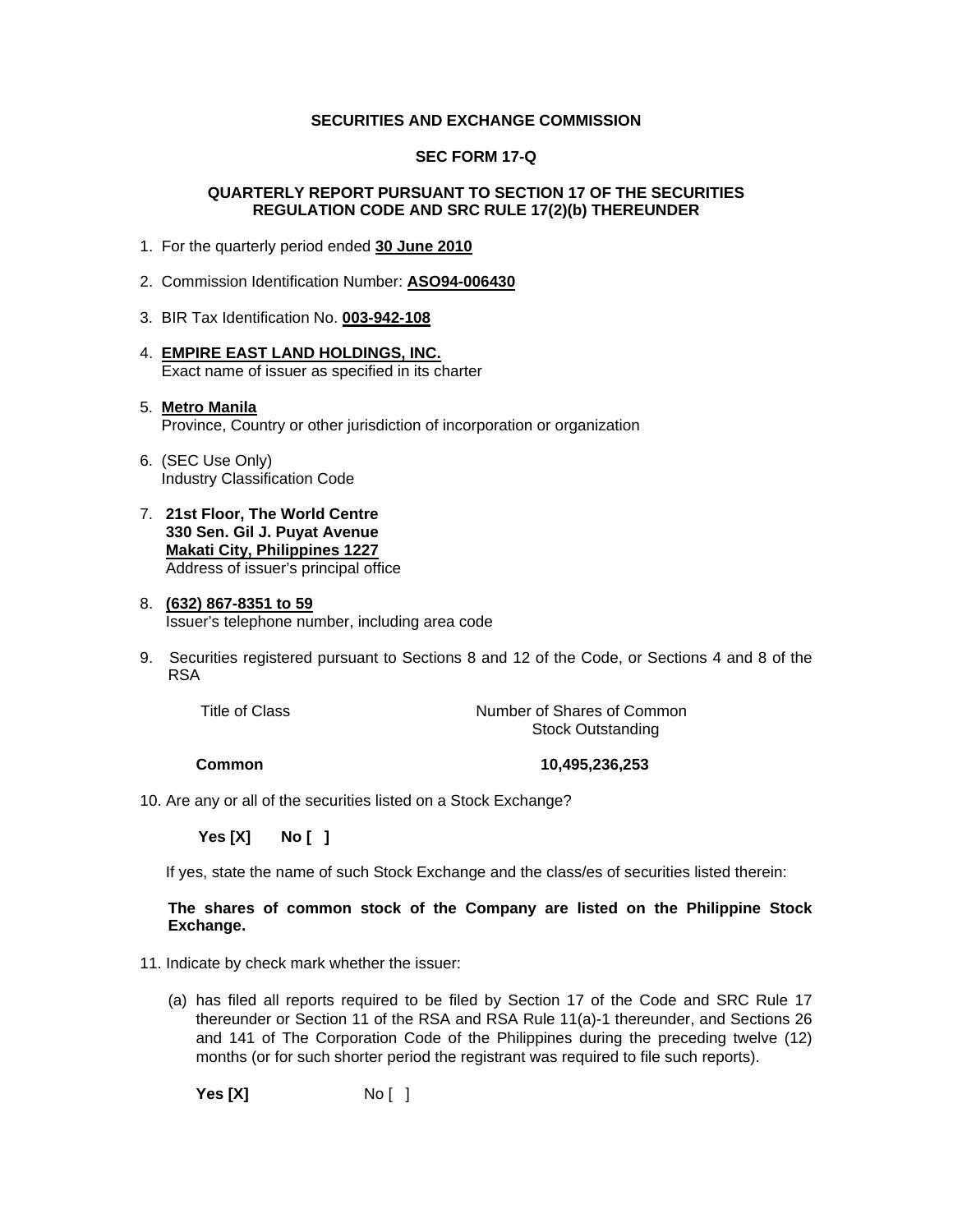#### **SECURITIES AND EXCHANGE COMMISSION**

#### **SEC FORM 17-Q**

#### **QUARTERLY REPORT PURSUANT TO SECTION 17 OF THE SECURITIES REGULATION CODE AND SRC RULE 17(2)(b) THEREUNDER**

- 1. For the quarterly period ended **30 June 2010**
- 2. Commission Identification Number: **ASO94-006430**
- 3. BIR Tax Identification No. **003-942-108**
- 4. **EMPIRE EAST LAND HOLDINGS, INC.** Exact name of issuer as specified in its charter

#### 5. **Metro Manila** Province, Country or other jurisdiction of incorporation or organization

- 6. (SEC Use Only) Industry Classification Code
- 7. **21st Floor, The World Centre 330 Sen. Gil J. Puyat Avenue Makati City, Philippines 1227** Address of issuer's principal office

#### 8. **(632) 867-8351 to 59** Issuer's telephone number, including area code

9. Securities registered pursuant to Sections 8 and 12 of the Code, or Sections 4 and 8 of the RSA

Title of Class Title of Common Number of Shares of Common Stock Outstanding

 **Common 10,495,236,253** 

10. Are any or all of the securities listed on a Stock Exchange?

 **Yes [X] No [ ]**

If yes, state the name of such Stock Exchange and the class/es of securities listed therein:

#### **The shares of common stock of the Company are listed on the Philippine Stock Exchange.**

11. Indicate by check mark whether the issuer:

(a) has filed all reports required to be filed by Section 17 of the Code and SRC Rule 17 thereunder or Section 11 of the RSA and RSA Rule 11(a)-1 thereunder, and Sections 26 and 141 of The Corporation Code of the Philippines during the preceding twelve (12) months (or for such shorter period the registrant was required to file such reports).

**Yes [X]** No [ ]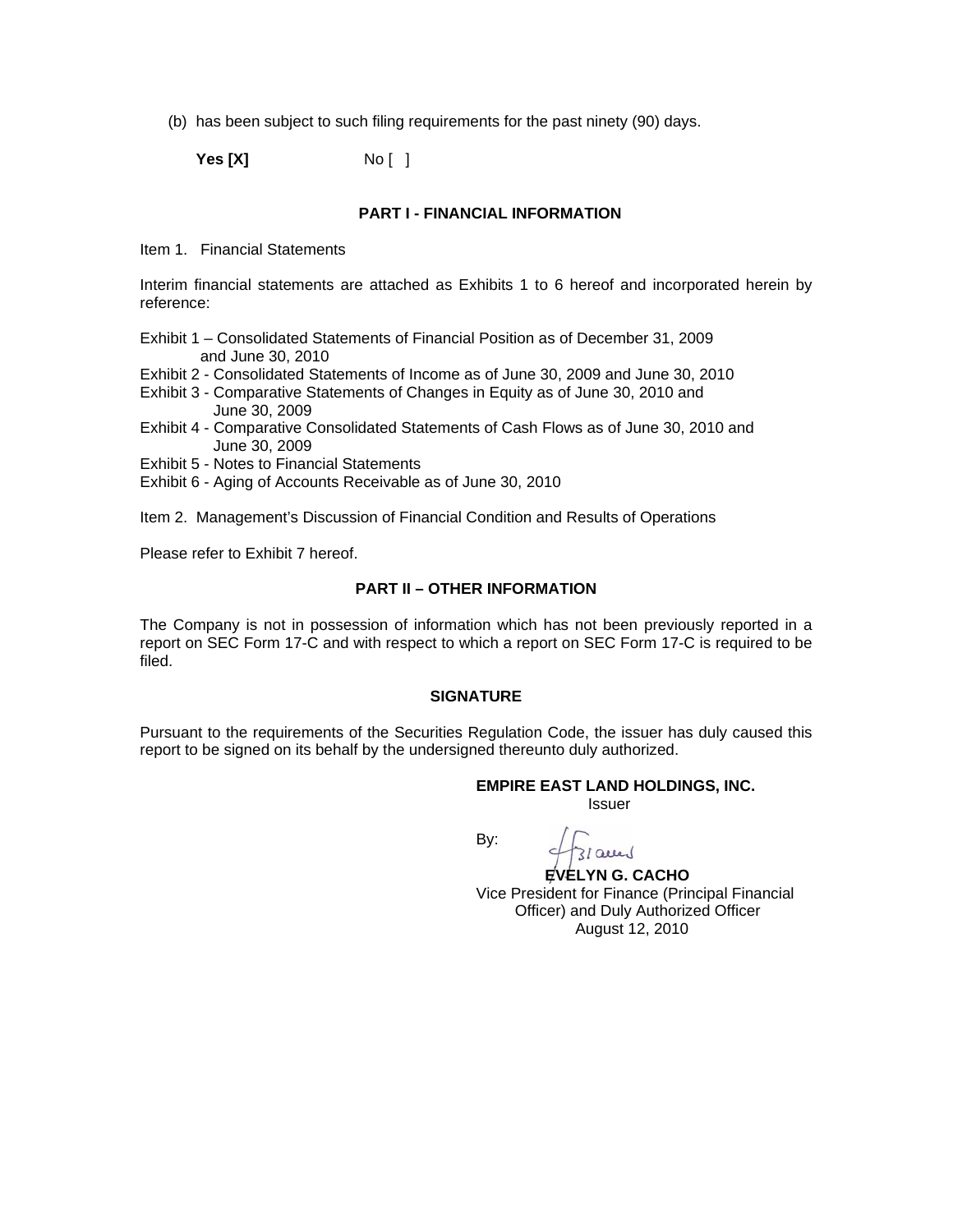(b) has been subject to such filing requirements for the past ninety (90) days.

**Yes [X]** No [ ]

#### **PART I - FINANCIAL INFORMATION**

Item 1. Financial Statements

Interim financial statements are attached as Exhibits 1 to 6 hereof and incorporated herein by reference:

- Exhibit 1 Consolidated Statements of Financial Position as of December 31, 2009 and June 30, 2010
- Exhibit 2 Consolidated Statements of Income as of June 30, 2009 and June 30, 2010
- Exhibit 3 Comparative Statements of Changes in Equity as of June 30, 2010 and June 30, 2009
- Exhibit 4 Comparative Consolidated Statements of Cash Flows as of June 30, 2010 and June 30, 2009

Exhibit 5 - Notes to Financial Statements

Exhibit 6 - Aging of Accounts Receivable as of June 30, 2010

Item 2. Management's Discussion of Financial Condition and Results of Operations

Please refer to Exhibit 7 hereof.

#### **PART II – OTHER INFORMATION**

The Company is not in possession of information which has not been previously reported in a report on SEC Form 17-C and with respect to which a report on SEC Form 17-C is required to be filed.

#### **SIGNATURE**

Pursuant to the requirements of the Securities Regulation Code, the issuer has duly caused this report to be signed on its behalf by the undersigned thereunto duly authorized.

#### **EMPIRE EAST LAND HOLDINGS, INC.**

*<u>Issuer</u> Issuer Issuer* 

**By: By:** 

 $310$ 

 **EVELYN G. CACHO**  Vice President for Finance (Principal Financial Officer) and Duly Authorized Officer August 12, 2010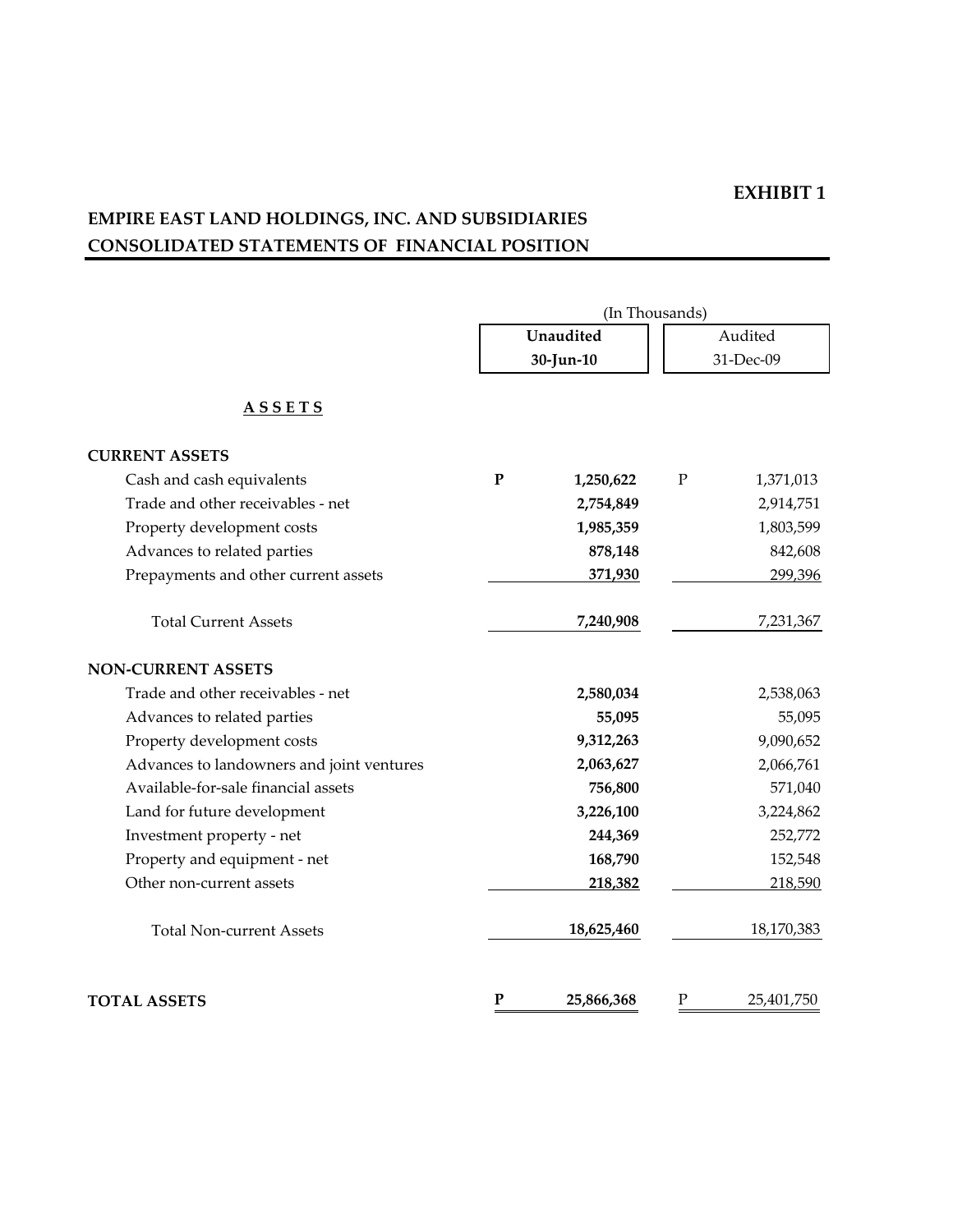# **EMPIRE EAST LAND HOLDINGS, INC. AND SUBSIDIARIES CONSOLIDATED STATEMENTS OF FINANCIAL POSITION**

|                                           |              | (In Thousands) |           |            |  |  |  |
|-------------------------------------------|--------------|----------------|-----------|------------|--|--|--|
|                                           |              | Unaudited      |           | Audited    |  |  |  |
|                                           |              | 30-Jun-10      | 31-Dec-09 |            |  |  |  |
| <u>ASSETS</u>                             |              |                |           |            |  |  |  |
| <b>CURRENT ASSETS</b>                     |              |                |           |            |  |  |  |
| Cash and cash equivalents                 | $\mathbf{P}$ | 1,250,622      | ${\bf P}$ | 1,371,013  |  |  |  |
| Trade and other receivables - net         |              | 2,754,849      |           | 2,914,751  |  |  |  |
| Property development costs                |              | 1,985,359      |           | 1,803,599  |  |  |  |
| Advances to related parties               |              | 878,148        |           | 842,608    |  |  |  |
| Prepayments and other current assets      |              | 371,930        |           | 299,396    |  |  |  |
| <b>Total Current Assets</b>               |              | 7,240,908      |           | 7,231,367  |  |  |  |
| <b>NON-CURRENT ASSETS</b>                 |              |                |           |            |  |  |  |
| Trade and other receivables - net         |              | 2,580,034      |           | 2,538,063  |  |  |  |
| Advances to related parties               |              | 55,095         |           | 55,095     |  |  |  |
| Property development costs                |              | 9,312,263      |           | 9,090,652  |  |  |  |
| Advances to landowners and joint ventures |              | 2,063,627      |           | 2,066,761  |  |  |  |
| Available-for-sale financial assets       |              | 756,800        |           | 571,040    |  |  |  |
| Land for future development               |              | 3,226,100      |           | 3,224,862  |  |  |  |
| Investment property - net                 |              | 244,369        |           | 252,772    |  |  |  |
| Property and equipment - net              |              | 168,790        |           | 152,548    |  |  |  |
| Other non-current assets                  |              | 218,382        |           | 218,590    |  |  |  |
| <b>Total Non-current Assets</b>           |              | 18,625,460     |           | 18,170,383 |  |  |  |
| <b>TOTAL ASSETS</b>                       | ${\bf P}$    | 25,866,368     | Ρ         | 25,401,750 |  |  |  |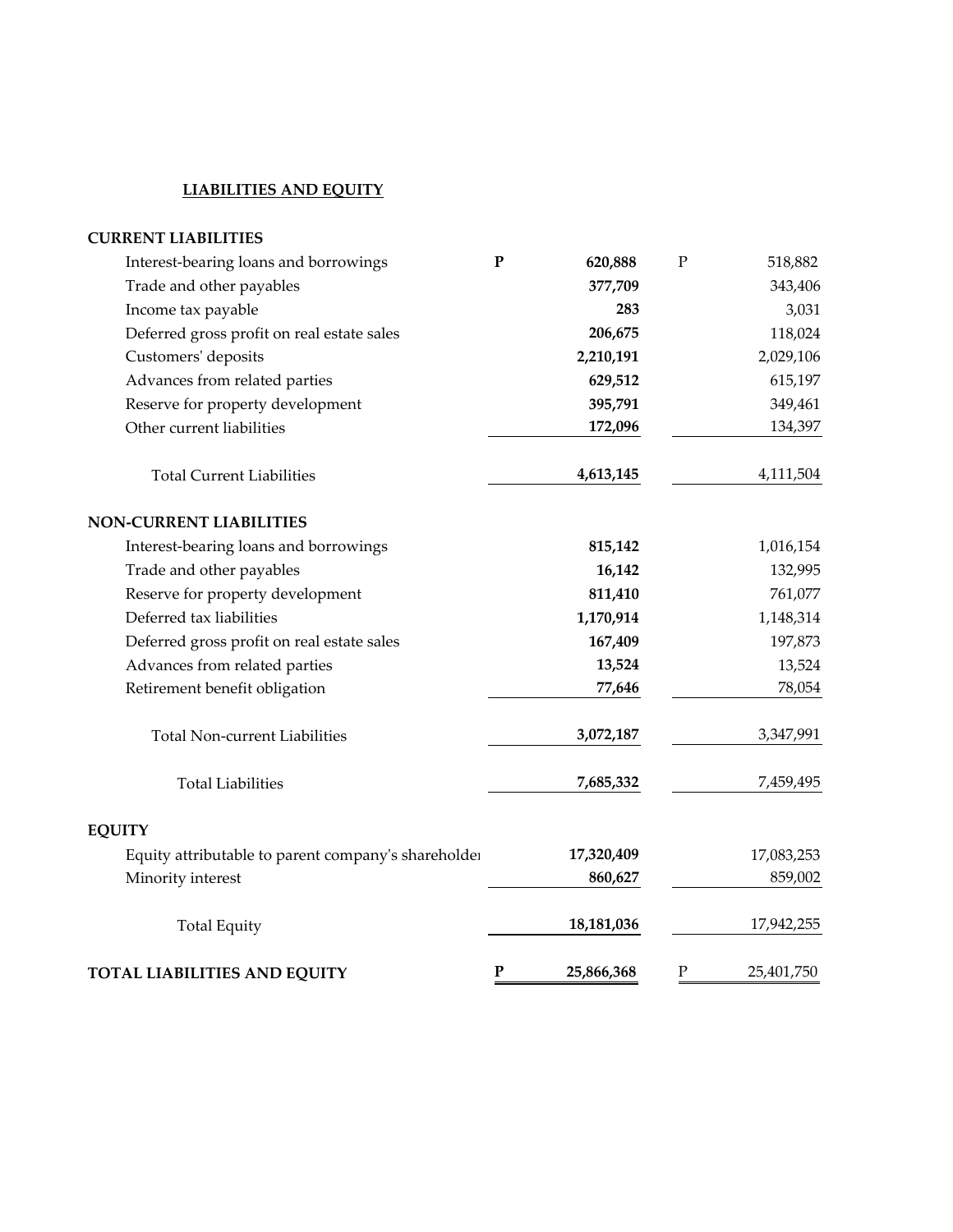## **LIABILITIES AND EQUITY**

| <b>CURRENT LIABILITIES</b>                          |           |            |              |            |
|-----------------------------------------------------|-----------|------------|--------------|------------|
| Interest-bearing loans and borrowings               | ${\bf P}$ | 620,888    | $\mathbf P$  | 518,882    |
| Trade and other payables                            |           | 377,709    |              | 343,406    |
| Income tax payable                                  |           | 283        |              | 3,031      |
| Deferred gross profit on real estate sales          |           | 206,675    |              | 118,024    |
| Customers' deposits                                 |           | 2,210,191  |              | 2,029,106  |
| Advances from related parties                       |           | 629,512    |              | 615,197    |
| Reserve for property development                    |           | 395,791    |              | 349,461    |
| Other current liabilities                           |           | 172,096    |              | 134,397    |
| <b>Total Current Liabilities</b>                    |           | 4,613,145  |              | 4,111,504  |
| <b>NON-CURRENT LIABILITIES</b>                      |           |            |              |            |
| Interest-bearing loans and borrowings               |           | 815,142    |              | 1,016,154  |
| Trade and other payables                            |           | 16,142     |              | 132,995    |
| Reserve for property development                    |           | 811,410    |              | 761,077    |
| Deferred tax liabilities                            |           | 1,170,914  |              | 1,148,314  |
| Deferred gross profit on real estate sales          |           | 167,409    |              | 197,873    |
| Advances from related parties                       |           | 13,524     |              | 13,524     |
| Retirement benefit obligation                       |           | 77,646     |              | 78,054     |
| Total Non-current Liabilities                       |           | 3,072,187  |              | 3,347,991  |
| <b>Total Liabilities</b>                            |           | 7,685,332  |              | 7,459,495  |
| <b>EQUITY</b>                                       |           |            |              |            |
| Equity attributable to parent company's shareholder |           | 17,320,409 |              | 17,083,253 |
| Minority interest                                   |           | 860,627    |              | 859,002    |
| <b>Total Equity</b>                                 |           | 18,181,036 |              | 17,942,255 |
| TOTAL LIABILITIES AND EQUITY                        | ${\bf P}$ | 25,866,368 | $\mathbf{P}$ | 25,401,750 |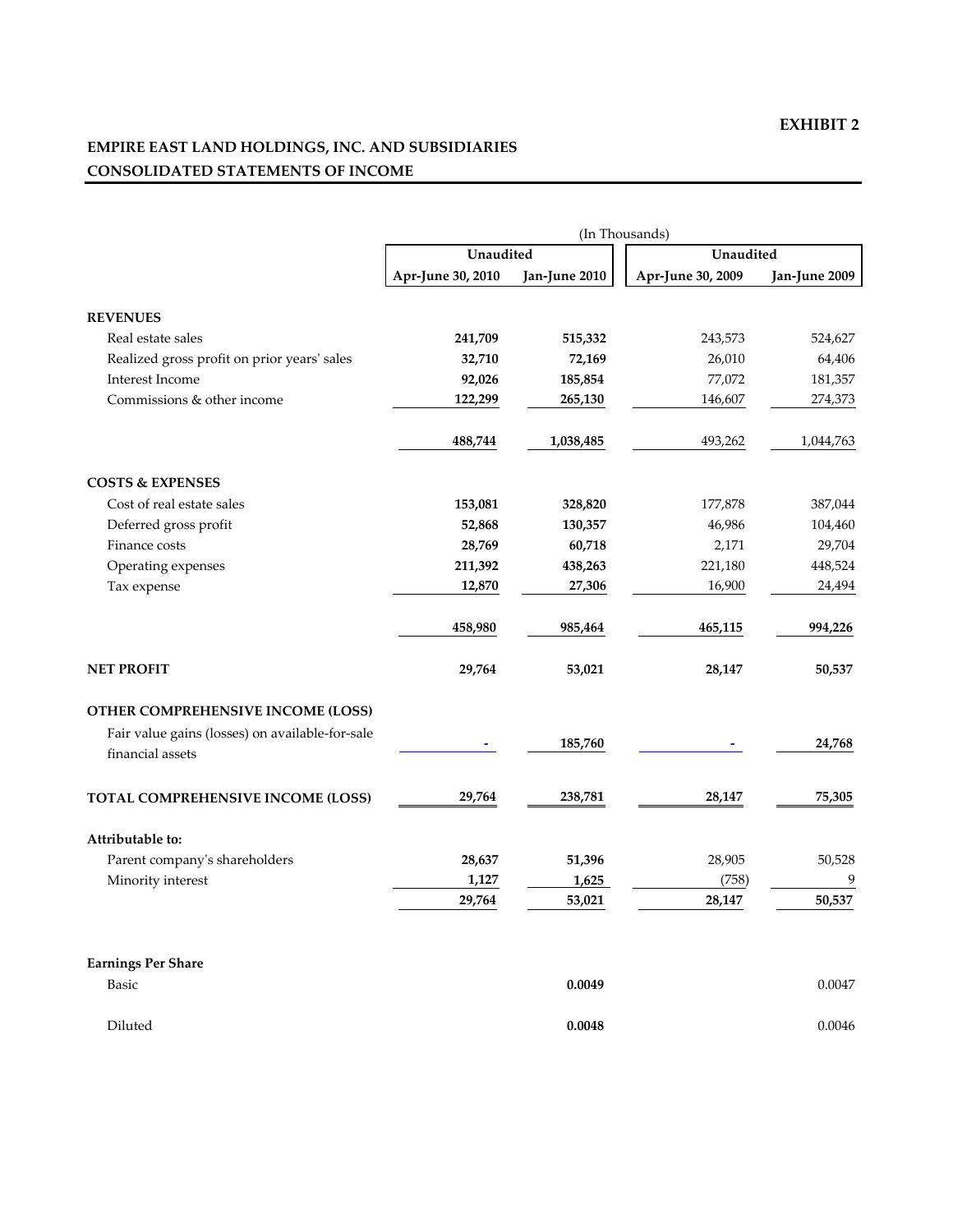## **EMPIRE EAST LAND HOLDINGS, INC. AND SUBSIDIARIES CONSOLIDATED STATEMENTS OF INCOME**

|                                                 |                   |               | (In Thousands)    |               |
|-------------------------------------------------|-------------------|---------------|-------------------|---------------|
|                                                 | Unaudited         |               | Unaudited         |               |
|                                                 | Apr-June 30, 2010 | Jan-June 2010 | Apr-June 30, 2009 | Jan-June 2009 |
| <b>REVENUES</b>                                 |                   |               |                   |               |
|                                                 |                   |               |                   |               |
| Real estate sales                               | 241,709           | 515,332       | 243,573           | 524,627       |
| Realized gross profit on prior years' sales     | 32,710            | 72,169        | 26,010            | 64,406        |
| <b>Interest Income</b>                          | 92,026            | 185,854       | 77,072            | 181,357       |
| Commissions & other income                      | 122,299           | 265,130       | 146,607           | 274,373       |
|                                                 | 488,744           | 1,038,485     | 493,262           | 1,044,763     |
| <b>COSTS &amp; EXPENSES</b>                     |                   |               |                   |               |
| Cost of real estate sales                       | 153,081           | 328,820       | 177,878           | 387,044       |
| Deferred gross profit                           | 52,868            | 130,357       | 46,986            | 104,460       |
| Finance costs                                   | 28,769            | 60,718        | 2,171             | 29,704        |
| Operating expenses                              | 211,392           | 438,263       | 221,180           | 448,524       |
| Tax expense                                     | 12,870            | 27,306        | 16,900            | 24,494        |
|                                                 | 458,980           | 985,464       | 465,115           | 994,226       |
| <b>NET PROFIT</b>                               | 29,764            | 53,021        | 28,147            | 50,537        |
| OTHER COMPREHENSIVE INCOME (LOSS)               |                   |               |                   |               |
| Fair value gains (losses) on available-for-sale |                   |               |                   |               |
| financial assets                                |                   | 185,760       |                   | 24,768        |
| TOTAL COMPREHENSIVE INCOME (LOSS)               | 29,764            | 238,781       | 28,147            | 75,305        |
| Attributable to:                                |                   |               |                   |               |
| Parent company's shareholders                   | 28,637            | 51,396        | 28,905            | 50,528        |
| Minority interest                               | 1,127             | 1,625         | (758)             | 9             |
|                                                 | 29,764            | 53,021        | 28,147            | 50,537        |
|                                                 |                   |               |                   |               |

#### **Earnings Per Share**

| Basic   | 0.0049 | 0.0047 |
|---------|--------|--------|
| Diluted | 0.0048 | 0.0046 |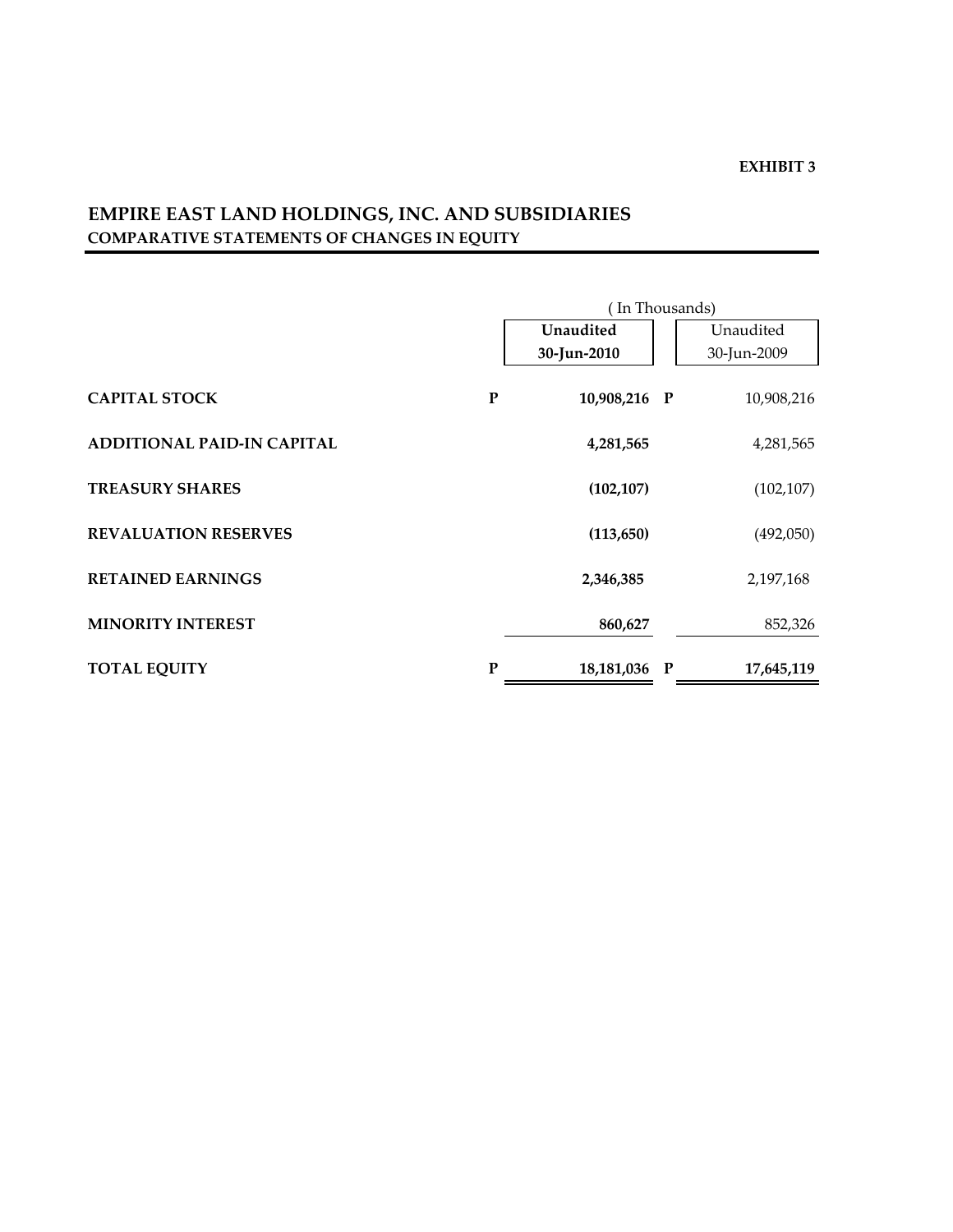# **EMPIRE EAST LAND HOLDINGS, INC. AND SUBSIDIARIES COMPARATIVE STATEMENTS OF CHANGES IN EQUITY**

|                                   |           | (In Thousands) |              |             |  |  |  |  |
|-----------------------------------|-----------|----------------|--------------|-------------|--|--|--|--|
|                                   |           | Unaudited      |              | Unaudited   |  |  |  |  |
|                                   |           | 30-Jun-2010    |              | 30-Jun-2009 |  |  |  |  |
| <b>CAPITAL STOCK</b>              | ${\bf P}$ | 10,908,216 P   |              | 10,908,216  |  |  |  |  |
| <b>ADDITIONAL PAID-IN CAPITAL</b> |           | 4,281,565      |              | 4,281,565   |  |  |  |  |
| <b>TREASURY SHARES</b>            |           | (102, 107)     |              | (102, 107)  |  |  |  |  |
| <b>REVALUATION RESERVES</b>       |           | (113, 650)     |              | (492,050)   |  |  |  |  |
| <b>RETAINED EARNINGS</b>          |           | 2,346,385      |              | 2,197,168   |  |  |  |  |
| <b>MINORITY INTEREST</b>          |           | 860,627        |              | 852,326     |  |  |  |  |
| <b>TOTAL EQUITY</b>               | P         | 18,181,036     | $\mathbf{P}$ | 17,645,119  |  |  |  |  |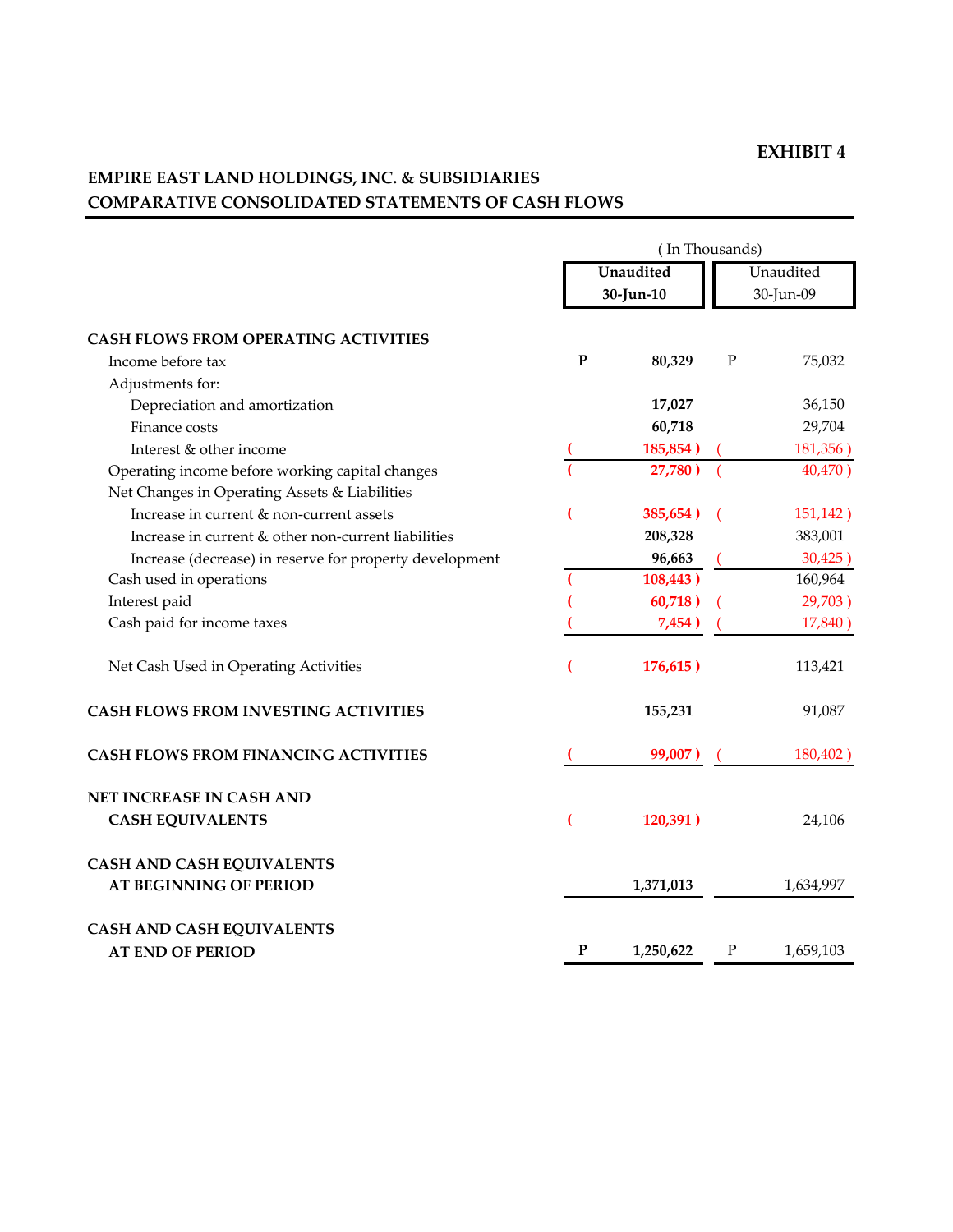# **EMPIRE EAST LAND HOLDINGS, INC. & SUBSIDIARIES COMPARATIVE CONSOLIDATED STATEMENTS OF CASH FLOWS**

|                                                         | (In Thousands) |                        |             |                        |  |  |
|---------------------------------------------------------|----------------|------------------------|-------------|------------------------|--|--|
|                                                         |                | Unaudited<br>30-Jun-10 |             | Unaudited<br>30-Jun-09 |  |  |
| <b>CASH FLOWS FROM OPERATING ACTIVITIES</b>             |                |                        |             |                        |  |  |
| Income before tax                                       | $\mathbf P$    | 80,329                 | $\mathbf P$ | 75,032                 |  |  |
| Adjustments for:                                        |                |                        |             |                        |  |  |
| Depreciation and amortization                           |                | 17,027                 |             | 36,150                 |  |  |
| Finance costs                                           |                | 60,718                 |             | 29,704                 |  |  |
| Interest & other income                                 |                | 185,854)               |             | 181,356)               |  |  |
| Operating income before working capital changes         |                | 27,780)                |             | 40,470)                |  |  |
| Net Changes in Operating Assets & Liabilities           |                |                        |             |                        |  |  |
| Increase in current & non-current assets                |                | 385,654)               |             | 151,142)               |  |  |
| Increase in current & other non-current liabilities     |                | 208,328                |             | 383,001                |  |  |
| Increase (decrease) in reserve for property development |                | 96,663                 |             | 30,425)                |  |  |
| Cash used in operations                                 |                | 108,443)               |             | 160,964                |  |  |
| Interest paid                                           |                | 60,718)                |             | 29,703)                |  |  |
| Cash paid for income taxes                              |                | 7,454)                 |             | 17,840)                |  |  |
| Net Cash Used in Operating Activities                   |                | 176,615)               |             | 113,421                |  |  |
| <b>CASH FLOWS FROM INVESTING ACTIVITIES</b>             |                | 155,231                |             | 91,087                 |  |  |
| <b>CASH FLOWS FROM FINANCING ACTIVITIES</b>             |                | 99,007)                |             | 180,402)               |  |  |
| NET INCREASE IN CASH AND                                |                |                        |             |                        |  |  |
| <b>CASH EQUIVALENTS</b>                                 |                | 120,391)               |             | 24,106                 |  |  |
| <b>CASH AND CASH EQUIVALENTS</b>                        |                |                        |             |                        |  |  |
| <b>AT BEGINNING OF PERIOD</b>                           |                | 1,371,013              |             | 1,634,997              |  |  |
| <b>CASH AND CASH EQUIVALENTS</b>                        |                |                        |             |                        |  |  |
| <b>AT END OF PERIOD</b>                                 | ${\bf P}$      | 1,250,622              | ${\bf P}$   | 1,659,103              |  |  |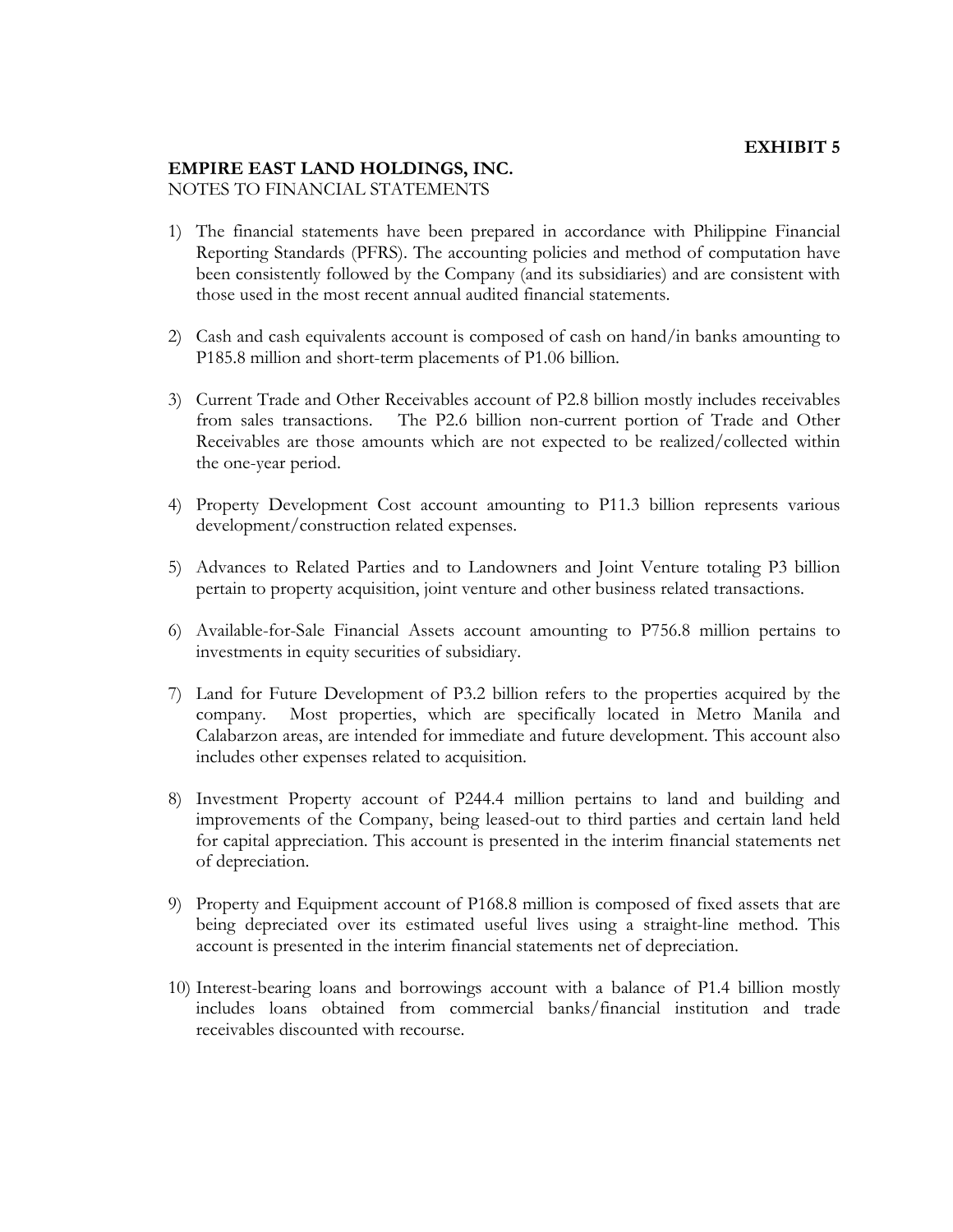#### **EMPIRE EAST LAND HOLDINGS, INC.**  NOTES TO FINANCIAL STATEMENTS

- 1) The financial statements have been prepared in accordance with Philippine Financial Reporting Standards (PFRS). The accounting policies and method of computation have been consistently followed by the Company (and its subsidiaries) and are consistent with those used in the most recent annual audited financial statements.
- 2) Cash and cash equivalents account is composed of cash on hand/in banks amounting to P185.8 million and short-term placements of P1.06 billion.
- 3) Current Trade and Other Receivables account of P2.8 billion mostly includes receivables from sales transactions. The P2.6 billion non-current portion of Trade and Other Receivables are those amounts which are not expected to be realized/collected within the one-year period.
- 4) Property Development Cost account amounting to P11.3 billion represents various development/construction related expenses.
- 5) Advances to Related Parties and to Landowners and Joint Venture totaling P3 billion pertain to property acquisition, joint venture and other business related transactions.
- 6) Available-for-Sale Financial Assets account amounting to P756.8 million pertains to investments in equity securities of subsidiary.
- 7) Land for Future Development of P3.2 billion refers to the properties acquired by the company. Most properties, which are specifically located in Metro Manila and Calabarzon areas, are intended for immediate and future development. This account also includes other expenses related to acquisition.
- 8) Investment Property account of P244.4 million pertains to land and building and improvements of the Company, being leased-out to third parties and certain land held for capital appreciation. This account is presented in the interim financial statements net of depreciation.
- 9) Property and Equipment account of P168.8 million is composed of fixed assets that are being depreciated over its estimated useful lives using a straight-line method. This account is presented in the interim financial statements net of depreciation.
- 10) Interest-bearing loans and borrowings account with a balance of P1.4 billion mostly includes loans obtained from commercial banks/financial institution and trade receivables discounted with recourse.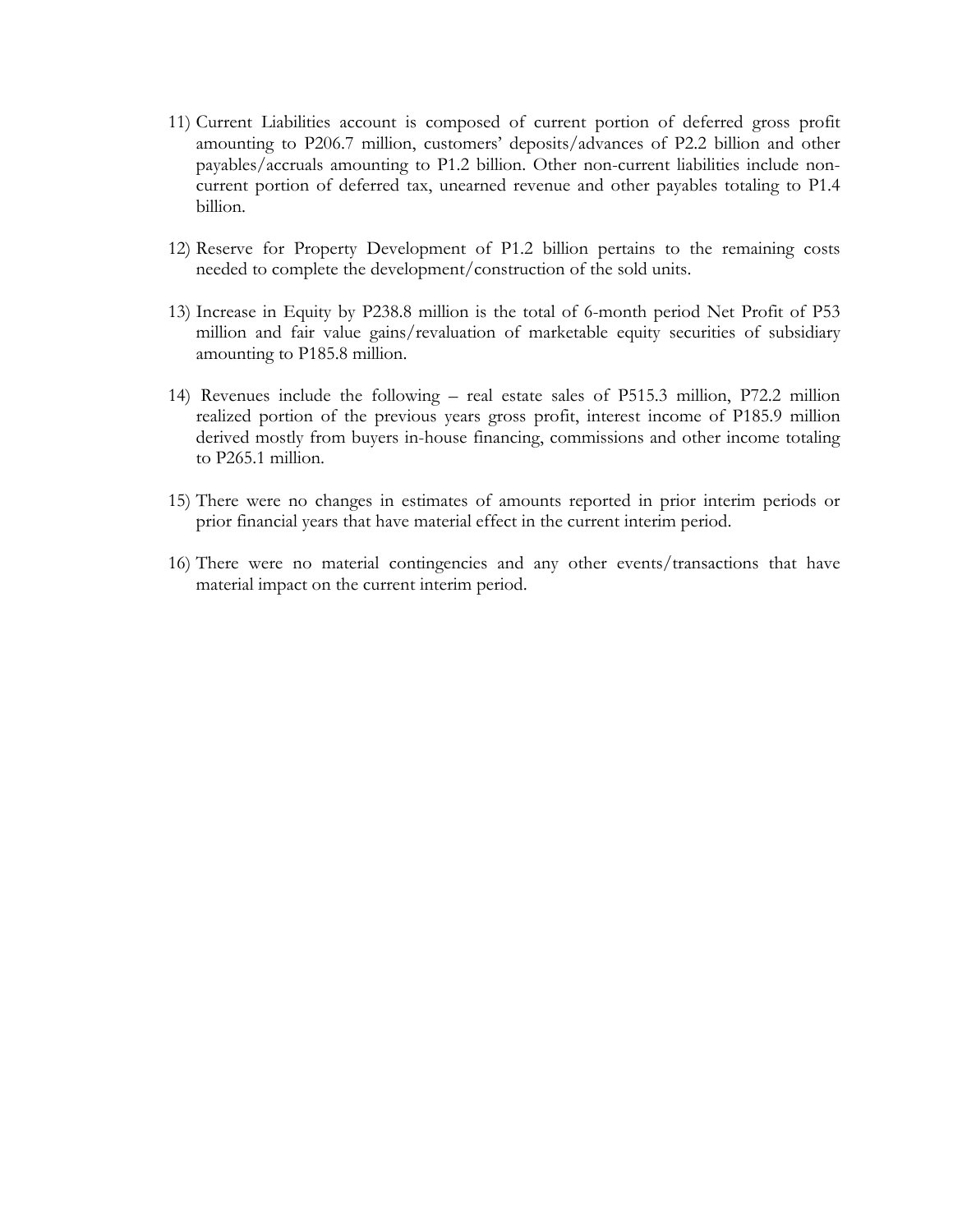- 11) Current Liabilities account is composed of current portion of deferred gross profit amounting to P206.7 million, customers' deposits/advances of P2.2 billion and other payables/accruals amounting to P1.2 billion. Other non-current liabilities include noncurrent portion of deferred tax, unearned revenue and other payables totaling to P1.4 billion.
- 12) Reserve for Property Development of P1.2 billion pertains to the remaining costs needed to complete the development/construction of the sold units.
- 13) Increase in Equity by P238.8 million is the total of 6-month period Net Profit of P53 million and fair value gains/revaluation of marketable equity securities of subsidiary amounting to P185.8 million.
- 14) Revenues include the following real estate sales of P515.3 million, P72.2 million realized portion of the previous years gross profit, interest income of P185.9 million derived mostly from buyers in-house financing, commissions and other income totaling to P265.1 million.
- 15) There were no changes in estimates of amounts reported in prior interim periods or prior financial years that have material effect in the current interim period.
- 16) There were no material contingencies and any other events/transactions that have material impact on the current interim period.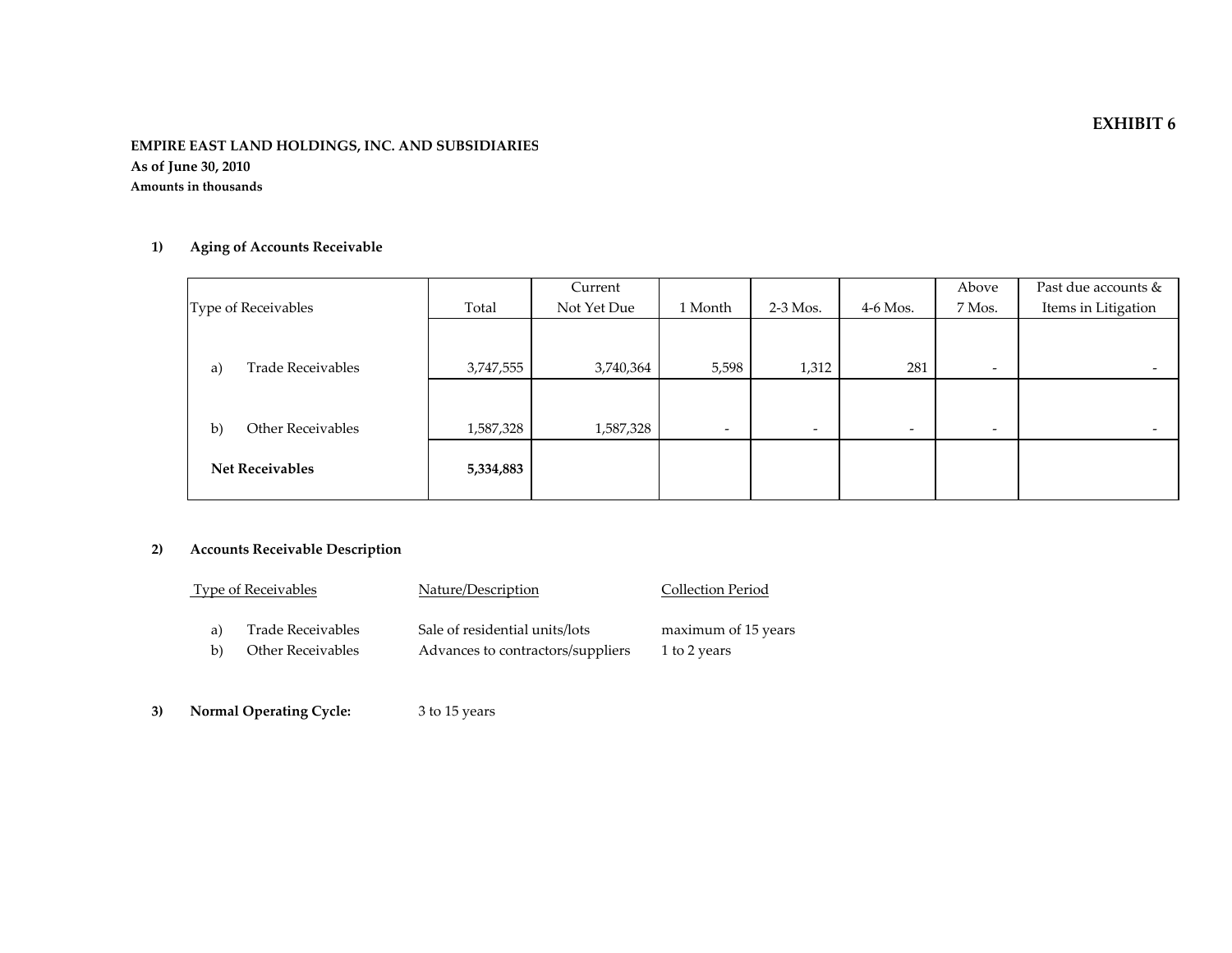#### **EMPIRE EAST LAND HOLDINGS, INC. AND SUBSIDIARIES As of June 30, 2010 Amounts in thousands**

### **1) Aging of Accounts Receivable**

|                                |           | Current     |                          |                          |                          | Above                    | Past due accounts &      |
|--------------------------------|-----------|-------------|--------------------------|--------------------------|--------------------------|--------------------------|--------------------------|
| Type of Receivables            | Total     | Not Yet Due | 1 Month                  | $2-3$ Mos.               | $4-6$ Mos.               | 7 Mos.                   | Items in Litigation      |
|                                |           |             |                          |                          |                          |                          |                          |
|                                |           |             |                          |                          |                          |                          |                          |
| <b>Trade Receivables</b><br>a) | 3,747,555 | 3,740,364   | 5,598                    | 1,312                    | 281                      | $\overline{\phantom{a}}$ | $\overline{\phantom{a}}$ |
|                                |           |             |                          |                          |                          |                          |                          |
|                                |           |             |                          |                          |                          |                          |                          |
| Other Receivables<br>b)        | 1,587,328 | 1,587,328   | $\overline{\phantom{a}}$ | $\overline{\phantom{a}}$ | $\overline{\phantom{a}}$ | $\overline{\phantom{a}}$ | $\overline{\phantom{0}}$ |
|                                |           |             |                          |                          |                          |                          |                          |
| <b>Net Receivables</b>         | 5,334,883 |             |                          |                          |                          |                          |                          |
|                                |           |             |                          |                          |                          |                          |                          |

#### **2) Accounts Receivable Description**

| <b>Type of Receivables</b> |                   | Nature/Description                | Collection Period   |
|----------------------------|-------------------|-----------------------------------|---------------------|
| a)                         | Trade Receivables | Sale of residential units/lots    | maximum of 15 years |
| b)                         | Other Receivables | Advances to contractors/suppliers | 1 to 2 years        |

**3) Normal Operating Cycle:** <sup>3</sup> to 15 years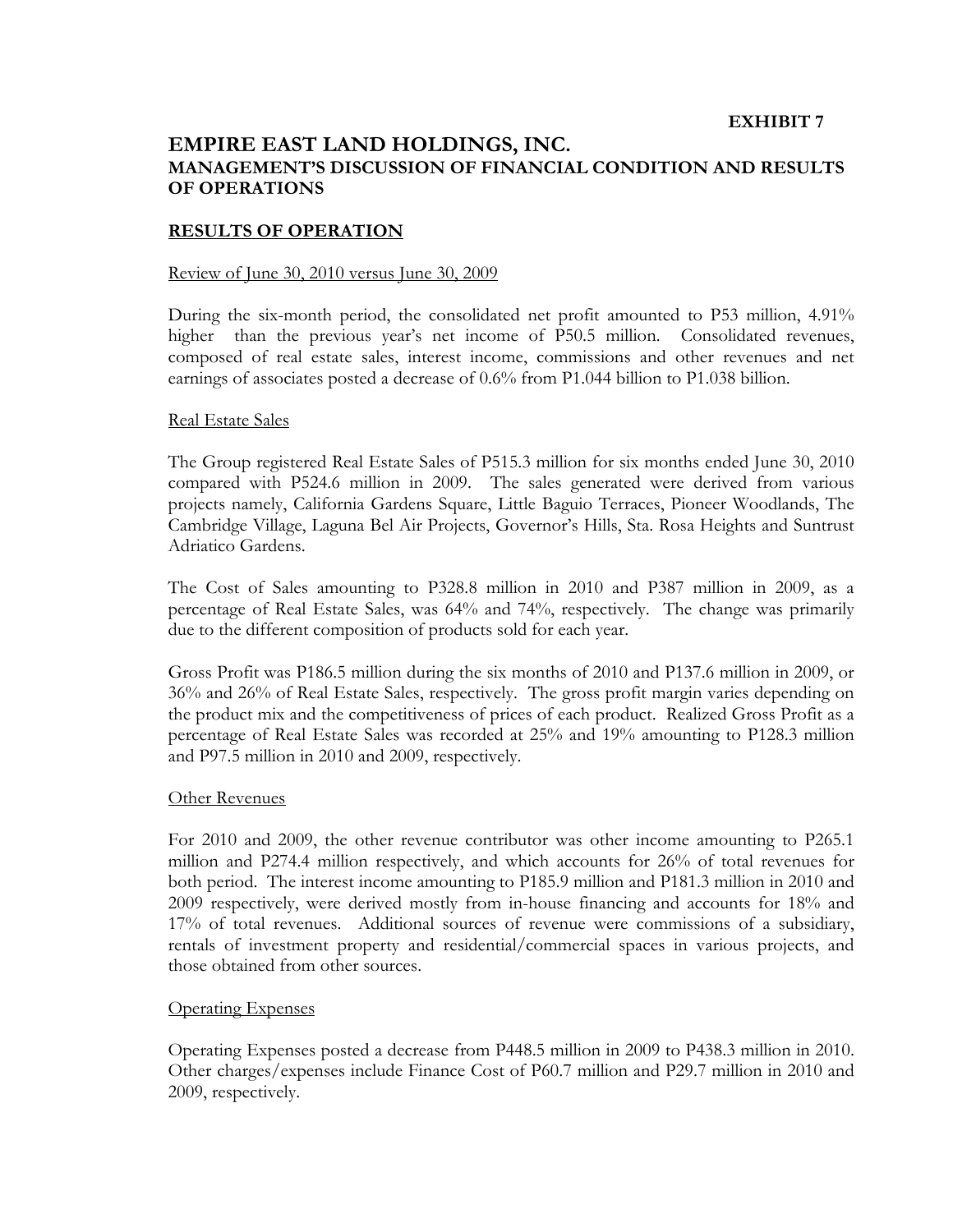## **EMPIRE EAST LAND HOLDINGS, INC. MANAGEMENT'S DISCUSSION OF FINANCIAL CONDITION AND RESULTS OF OPERATIONS**

#### **RESULTS OF OPERATION**

#### Review of June 30, 2010 versus June 30, 2009

During the six-month period, the consolidated net profit amounted to P53 million, 4.91% higher than the previous year's net income of P50.5 million. Consolidated revenues, composed of real estate sales, interest income, commissions and other revenues and net earnings of associates posted a decrease of 0.6% from P1.044 billion to P1.038 billion.

#### Real Estate Sales

The Group registered Real Estate Sales of P515.3 million for six months ended June 30, 2010 compared with P524.6 million in 2009. The sales generated were derived from various projects namely, California Gardens Square, Little Baguio Terraces, Pioneer Woodlands, The Cambridge Village, Laguna Bel Air Projects, Governor's Hills, Sta. Rosa Heights and Suntrust Adriatico Gardens.

The Cost of Sales amounting to P328.8 million in 2010 and P387 million in 2009, as a percentage of Real Estate Sales, was 64% and 74%, respectively. The change was primarily due to the different composition of products sold for each year.

Gross Profit was P186.5 million during the six months of 2010 and P137.6 million in 2009, or 36% and 26% of Real Estate Sales, respectively. The gross profit margin varies depending on the product mix and the competitiveness of prices of each product. Realized Gross Profit as a percentage of Real Estate Sales was recorded at 25% and 19% amounting to P128.3 million and P97.5 million in 2010 and 2009, respectively.

#### Other Revenues

For 2010 and 2009, the other revenue contributor was other income amounting to P265.1 million and P274.4 million respectively, and which accounts for 26% of total revenues for both period. The interest income amounting to P185.9 million and P181.3 million in 2010 and 2009 respectively, were derived mostly from in-house financing and accounts for 18% and 17% of total revenues. Additional sources of revenue were commissions of a subsidiary, rentals of investment property and residential/commercial spaces in various projects, and those obtained from other sources.

#### Operating Expenses

Operating Expenses posted a decrease from P448.5 million in 2009 to P438.3 million in 2010. Other charges/expenses include Finance Cost of P60.7 million and P29.7 million in 2010 and 2009, respectively.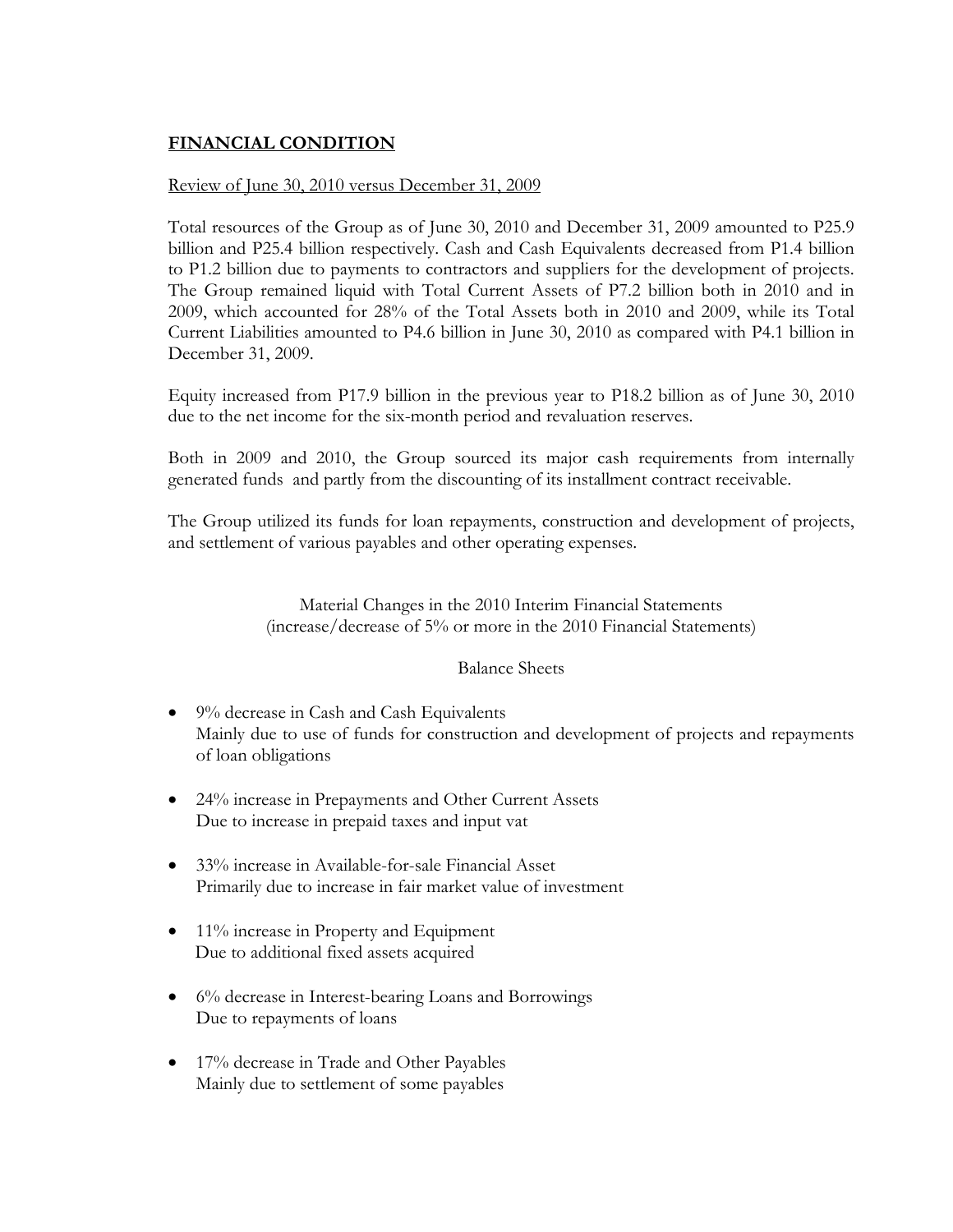## **FINANCIAL CONDITION**

## Review of June 30, 2010 versus December 31, 2009

Total resources of the Group as of June 30, 2010 and December 31, 2009 amounted to P25.9 billion and P25.4 billion respectively. Cash and Cash Equivalents decreased from P1.4 billion to P1.2 billion due to payments to contractors and suppliers for the development of projects. The Group remained liquid with Total Current Assets of P7.2 billion both in 2010 and in 2009, which accounted for 28% of the Total Assets both in 2010 and 2009, while its Total Current Liabilities amounted to P4.6 billion in June 30, 2010 as compared with P4.1 billion in December 31, 2009.

Equity increased from P17.9 billion in the previous year to P18.2 billion as of June 30, 2010 due to the net income for the six-month period and revaluation reserves.

Both in 2009 and 2010, the Group sourced its major cash requirements from internally generated funds and partly from the discounting of its installment contract receivable.

The Group utilized its funds for loan repayments, construction and development of projects, and settlement of various payables and other operating expenses.

> Material Changes in the 2010 Interim Financial Statements (increase/decrease of 5% or more in the 2010 Financial Statements)

#### Balance Sheets

- 9% decrease in Cash and Cash Equivalents Mainly due to use of funds for construction and development of projects and repayments of loan obligations
- 24% increase in Prepayments and Other Current Assets Due to increase in prepaid taxes and input vat
- 33% increase in Available-for-sale Financial Asset Primarily due to increase in fair market value of investment
- 11% increase in Property and Equipment Due to additional fixed assets acquired
- 6% decrease in Interest-bearing Loans and Borrowings Due to repayments of loans
- 17% decrease in Trade and Other Payables Mainly due to settlement of some payables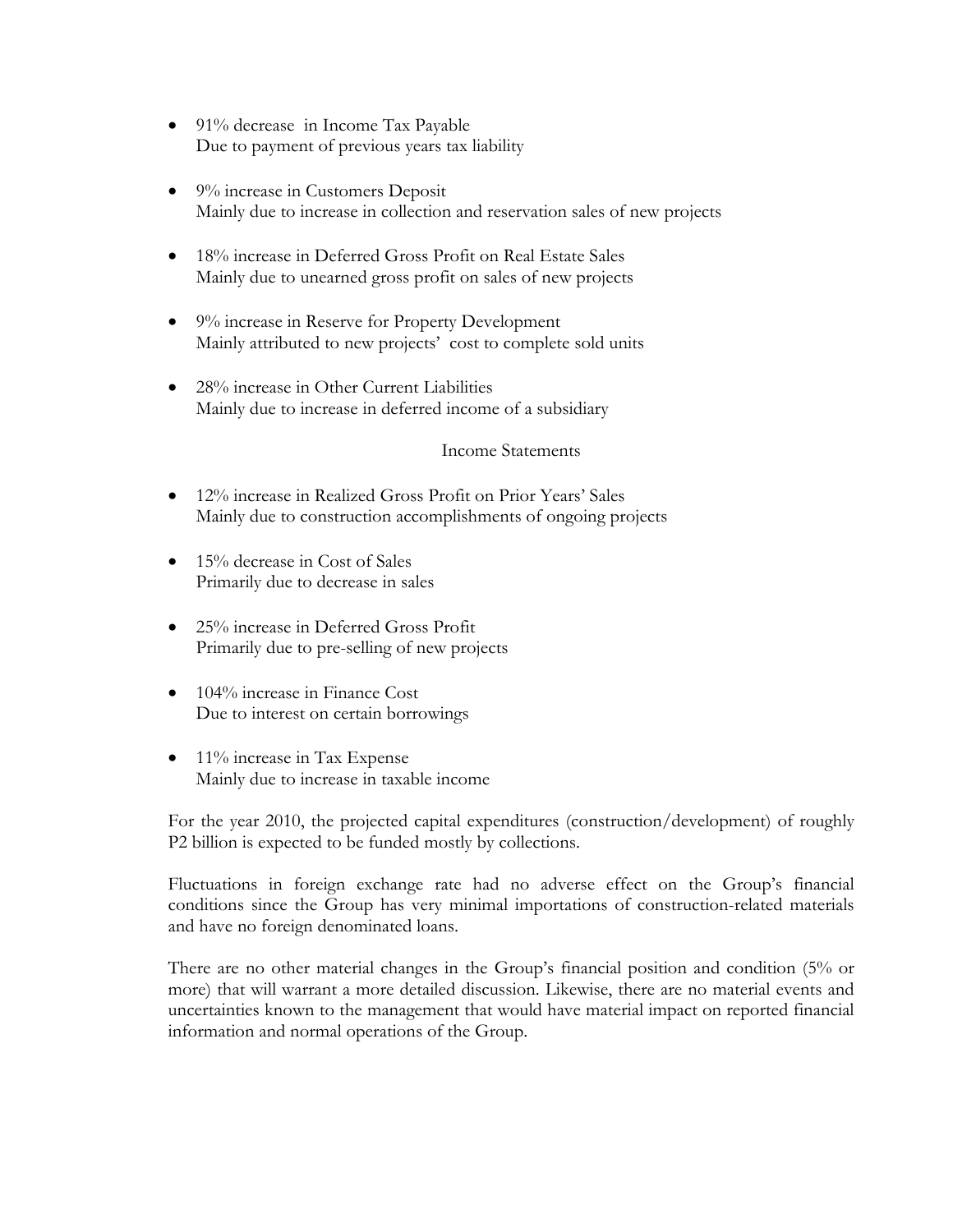- 91% decrease in Income Tax Payable Due to payment of previous years tax liability
- 9% increase in Customers Deposit Mainly due to increase in collection and reservation sales of new projects
- 18% increase in Deferred Gross Profit on Real Estate Sales Mainly due to unearned gross profit on sales of new projects
- 9% increase in Reserve for Property Development Mainly attributed to new projects' cost to complete sold units
- 28% increase in Other Current Liabilities Mainly due to increase in deferred income of a subsidiary

## Income Statements

- 12% increase in Realized Gross Profit on Prior Years' Sales Mainly due to construction accomplishments of ongoing projects
- 15% decrease in Cost of Sales Primarily due to decrease in sales
- 25% increase in Deferred Gross Profit Primarily due to pre-selling of new projects
- 104% increase in Finance Cost Due to interest on certain borrowings
- 11% increase in Tax Expense Mainly due to increase in taxable income

For the year 2010, the projected capital expenditures (construction/development) of roughly P2 billion is expected to be funded mostly by collections.

Fluctuations in foreign exchange rate had no adverse effect on the Group's financial conditions since the Group has very minimal importations of construction-related materials and have no foreign denominated loans.

There are no other material changes in the Group's financial position and condition (5% or more) that will warrant a more detailed discussion. Likewise, there are no material events and uncertainties known to the management that would have material impact on reported financial information and normal operations of the Group.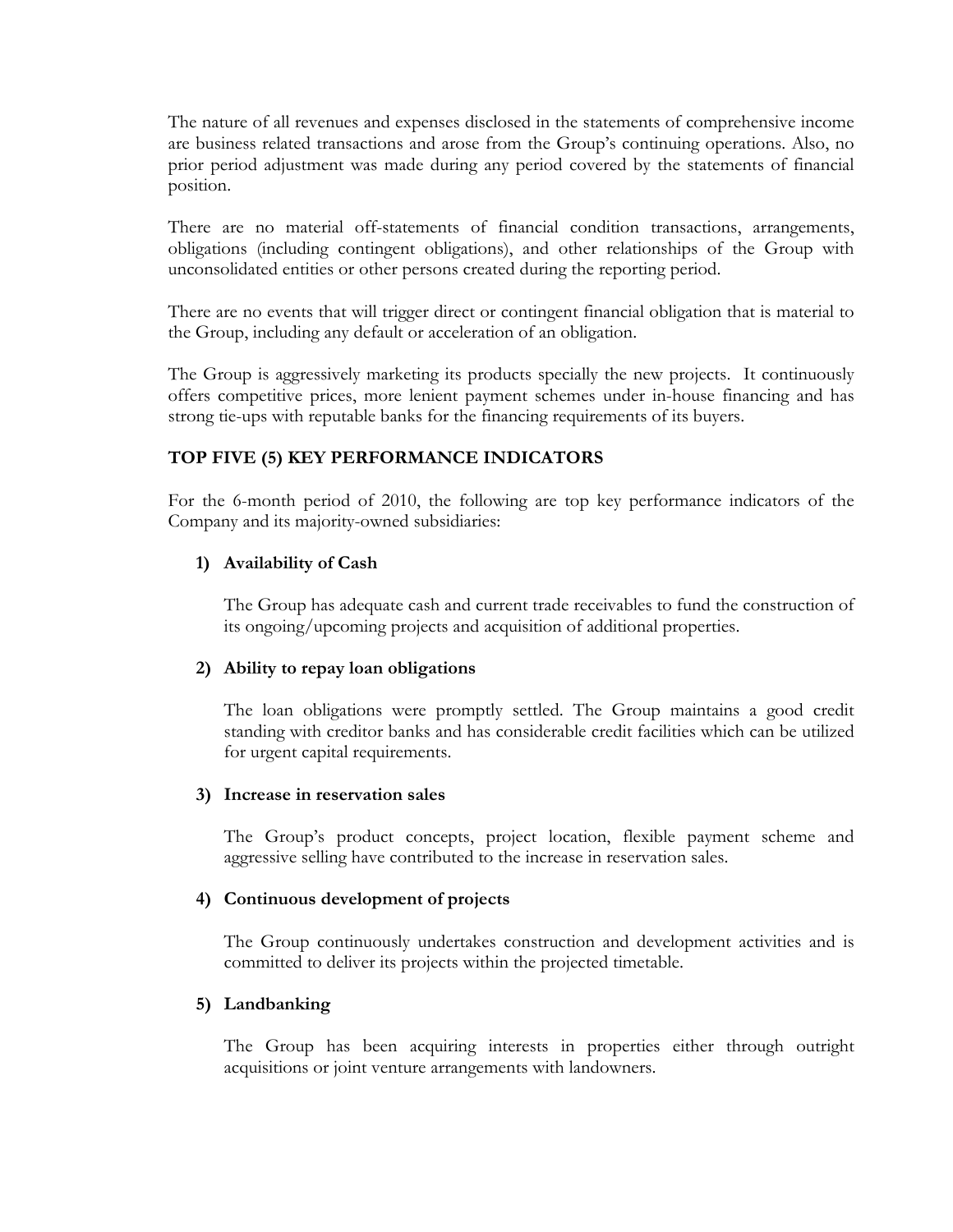The nature of all revenues and expenses disclosed in the statements of comprehensive income are business related transactions and arose from the Group's continuing operations. Also, no prior period adjustment was made during any period covered by the statements of financial position.

There are no material off-statements of financial condition transactions, arrangements, obligations (including contingent obligations), and other relationships of the Group with unconsolidated entities or other persons created during the reporting period.

There are no events that will trigger direct or contingent financial obligation that is material to the Group, including any default or acceleration of an obligation.

The Group is aggressively marketing its products specially the new projects. It continuously offers competitive prices, more lenient payment schemes under in-house financing and has strong tie-ups with reputable banks for the financing requirements of its buyers.

## **TOP FIVE (5) KEY PERFORMANCE INDICATORS**

For the 6-month period of 2010, the following are top key performance indicators of the Company and its majority-owned subsidiaries:

## **1) Availability of Cash**

The Group has adequate cash and current trade receivables to fund the construction of its ongoing/upcoming projects and acquisition of additional properties.

## **2) Ability to repay loan obligations**

The loan obligations were promptly settled. The Group maintains a good credit standing with creditor banks and has considerable credit facilities which can be utilized for urgent capital requirements.

#### **3) Increase in reservation sales**

The Group's product concepts, project location, flexible payment scheme and aggressive selling have contributed to the increase in reservation sales.

#### **4) Continuous development of projects**

The Group continuously undertakes construction and development activities and is committed to deliver its projects within the projected timetable.

## **5) Landbanking**

The Group has been acquiring interests in properties either through outright acquisitions or joint venture arrangements with landowners.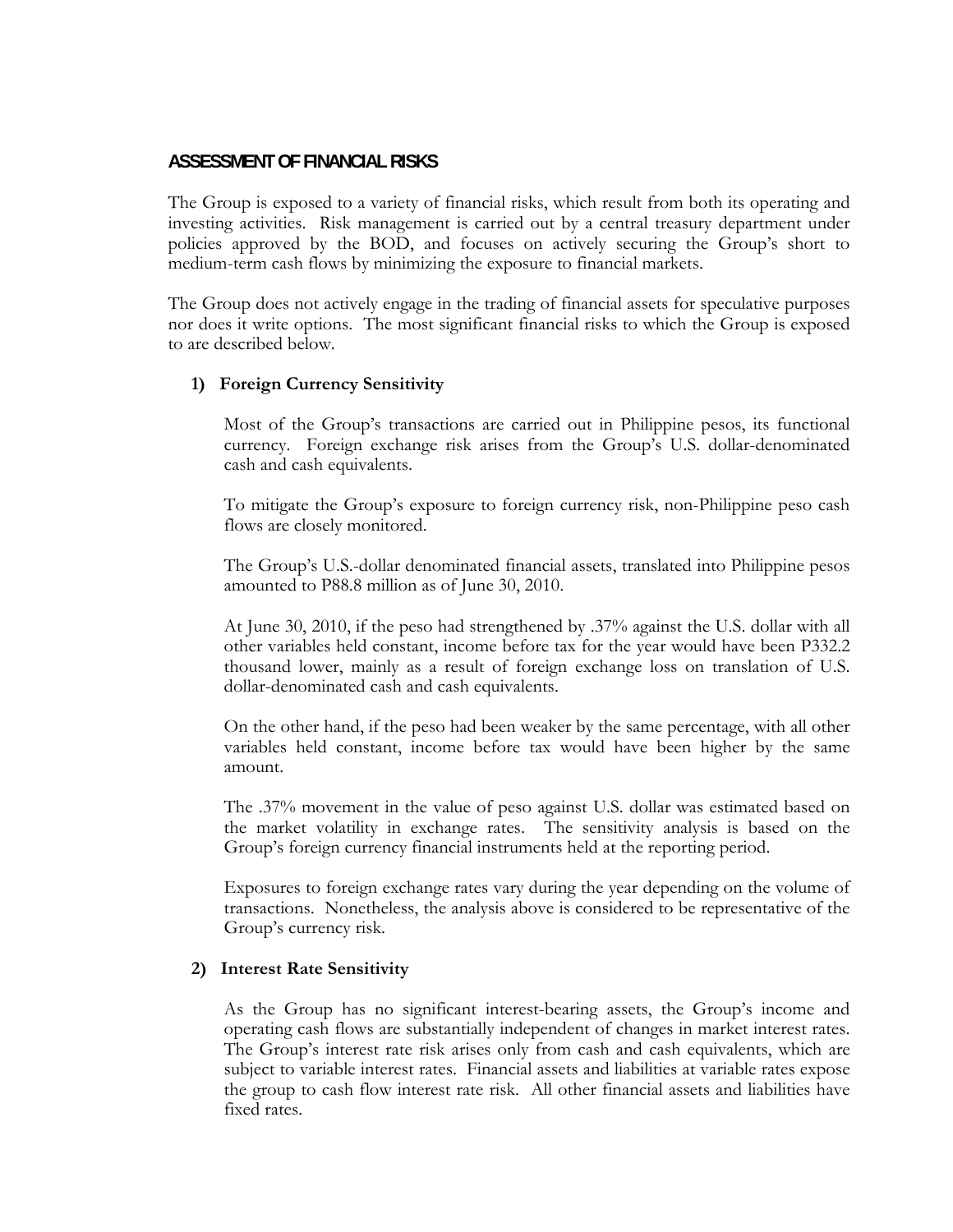## **ASSESSMENT OF FINANCIAL RISKS**

The Group is exposed to a variety of financial risks, which result from both its operating and investing activities. Risk management is carried out by a central treasury department under policies approved by the BOD, and focuses on actively securing the Group's short to medium-term cash flows by minimizing the exposure to financial markets.

The Group does not actively engage in the trading of financial assets for speculative purposes nor does it write options. The most significant financial risks to which the Group is exposed to are described below.

### **1) Foreign Currency Sensitivity**

Most of the Group's transactions are carried out in Philippine pesos, its functional currency. Foreign exchange risk arises from the Group's U.S. dollar-denominated cash and cash equivalents.

To mitigate the Group's exposure to foreign currency risk, non-Philippine peso cash flows are closely monitored.

The Group's U.S.-dollar denominated financial assets, translated into Philippine pesos amounted to P88.8 million as of June 30, 2010.

At June 30, 2010, if the peso had strengthened by .37% against the U.S. dollar with all other variables held constant, income before tax for the year would have been P332.2 thousand lower, mainly as a result of foreign exchange loss on translation of U.S. dollar-denominated cash and cash equivalents.

On the other hand, if the peso had been weaker by the same percentage, with all other variables held constant, income before tax would have been higher by the same amount.

The .37% movement in the value of peso against U.S. dollar was estimated based on the market volatility in exchange rates. The sensitivity analysis is based on the Group's foreign currency financial instruments held at the reporting period.

Exposures to foreign exchange rates vary during the year depending on the volume of transactions. Nonetheless, the analysis above is considered to be representative of the Group's currency risk.

#### **2) Interest Rate Sensitivity**

As the Group has no significant interest-bearing assets, the Group's income and operating cash flows are substantially independent of changes in market interest rates. The Group's interest rate risk arises only from cash and cash equivalents, which are subject to variable interest rates. Financial assets and liabilities at variable rates expose the group to cash flow interest rate risk. All other financial assets and liabilities have fixed rates.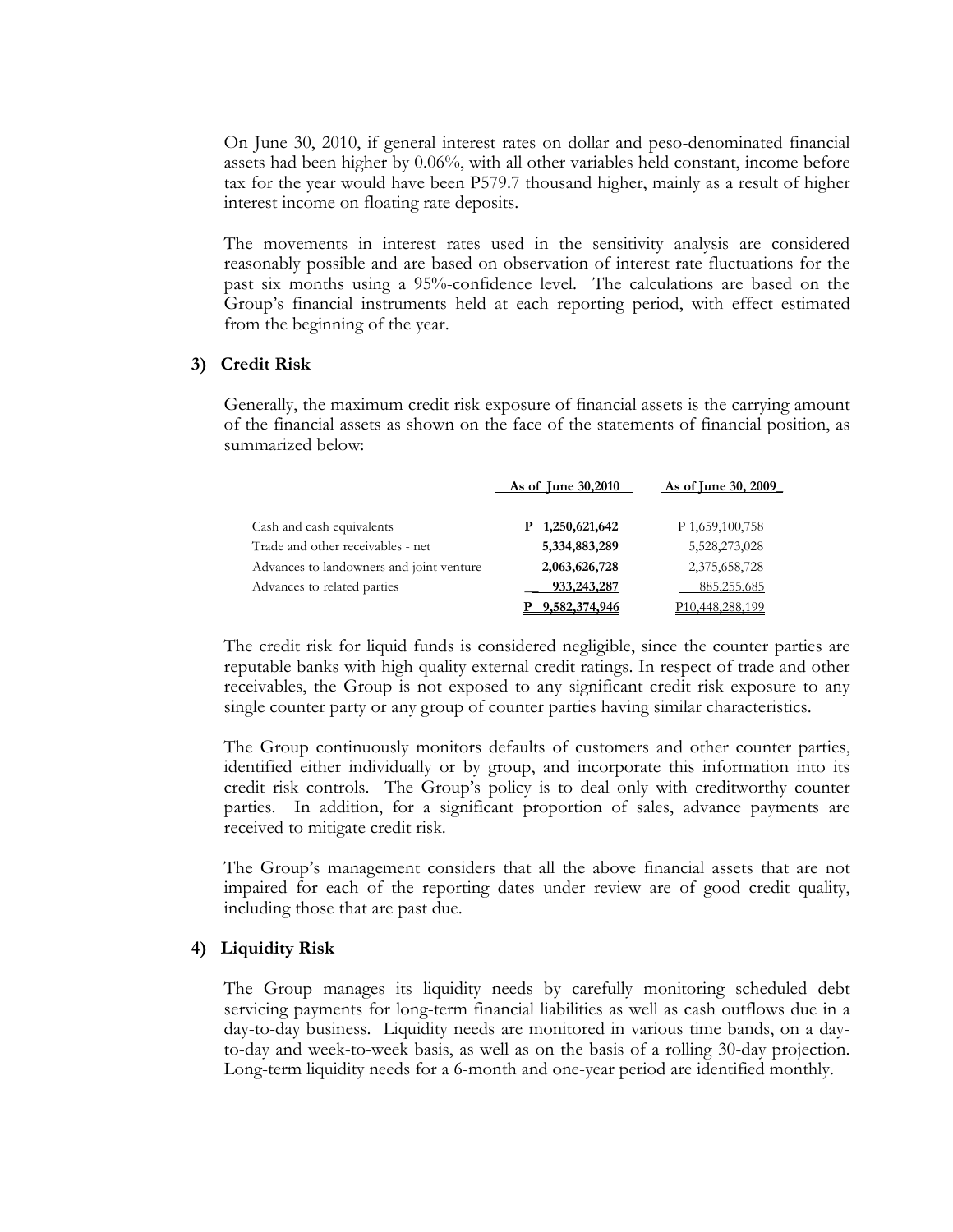On June 30, 2010, if general interest rates on dollar and peso-denominated financial assets had been higher by 0.06%, with all other variables held constant, income before tax for the year would have been P579.7 thousand higher, mainly as a result of higher interest income on floating rate deposits.

The movements in interest rates used in the sensitivity analysis are considered reasonably possible and are based on observation of interest rate fluctuations for the past six months using a 95%-confidence level. The calculations are based on the Group's financial instruments held at each reporting period, with effect estimated from the beginning of the year.

#### **3) Credit Risk**

Generally, the maximum credit risk exposure of financial assets is the carrying amount of the financial assets as shown on the face of the statements of financial position, as summarized below:

|                                          | As of June 30,2010 | As of June 30, 2009 |
|------------------------------------------|--------------------|---------------------|
| Cash and cash equivalents                | 1,250,621,642<br>Р | P 1,659,100,758     |
| Trade and other receivables - net        | 5,334,883,289      | 5,528,273,028       |
| Advances to landowners and joint venture | 2,063,626,728      | 2,375,658,728       |
| Advances to related parties              | 933,243,287        | 885,255,685         |
|                                          | 9,582,374,946      | P10,448,288,199     |

The credit risk for liquid funds is considered negligible, since the counter parties are reputable banks with high quality external credit ratings. In respect of trade and other receivables, the Group is not exposed to any significant credit risk exposure to any single counter party or any group of counter parties having similar characteristics.

The Group continuously monitors defaults of customers and other counter parties, identified either individually or by group, and incorporate this information into its credit risk controls. The Group's policy is to deal only with creditworthy counter parties. In addition, for a significant proportion of sales, advance payments are received to mitigate credit risk.

The Group's management considers that all the above financial assets that are not impaired for each of the reporting dates under review are of good credit quality, including those that are past due.

#### **4) Liquidity Risk**

The Group manages its liquidity needs by carefully monitoring scheduled debt servicing payments for long-term financial liabilities as well as cash outflows due in a day-to-day business. Liquidity needs are monitored in various time bands, on a dayto-day and week-to-week basis, as well as on the basis of a rolling 30-day projection. Long-term liquidity needs for a 6-month and one-year period are identified monthly.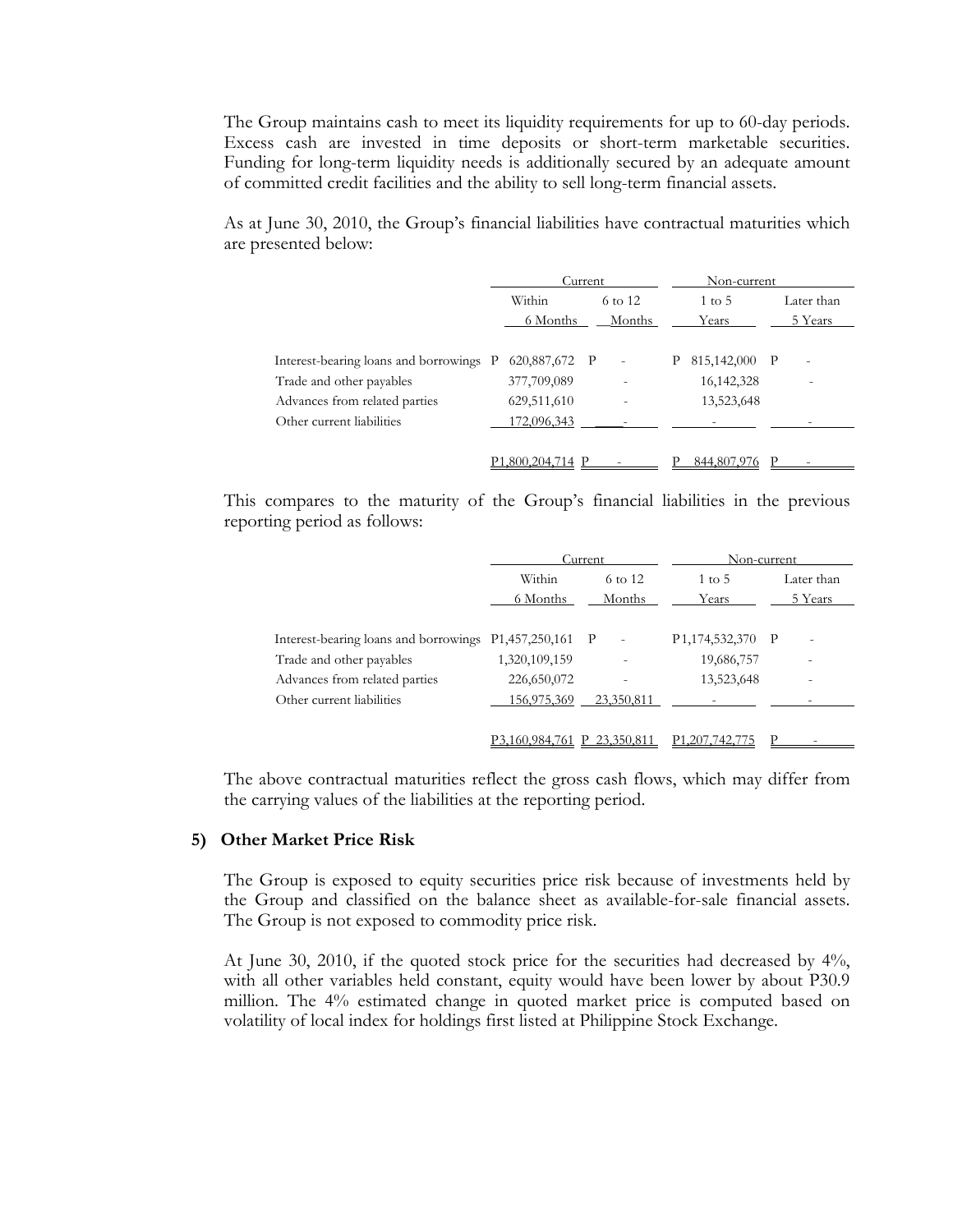The Group maintains cash to meet its liquidity requirements for up to 60-day periods. Excess cash are invested in time deposits or short-term marketable securities. Funding for long-term liquidity needs is additionally secured by an adequate amount of committed credit facilities and the ability to sell long-term financial assets.

As at June 30, 2010, the Group's financial liabilities have contractual maturities which are presented below:

|                                                                     | Current                      |  | Non-current       |   |                               |  |                       |
|---------------------------------------------------------------------|------------------------------|--|-------------------|---|-------------------------------|--|-----------------------|
|                                                                     | Within<br>6 Months           |  | 6 to 12<br>Months |   | $1 \text{ to } 5$<br>Years    |  | Later than<br>5 Years |
|                                                                     |                              |  |                   |   |                               |  |                       |
| Interest-bearing loans and borrowings P<br>Trade and other payables | 620,887,672 P<br>377,709,089 |  | $\sim$            | Ρ | 815,142,000 P<br>16, 142, 328 |  | $\overline{a}$        |
| Advances from related parties<br>Other current liabilities          | 629,511,610<br>172,096,343   |  |                   |   | 13,523,648                    |  |                       |
|                                                                     |                              |  |                   |   |                               |  |                       |
|                                                                     | 1.800.204.714 P              |  |                   |   | 844,807,976                   |  |                       |

This compares to the maturity of the Group's financial liabilities in the previous reporting period as follows:

|                                                        |                | Current    | Non-current                   |                          |
|--------------------------------------------------------|----------------|------------|-------------------------------|--------------------------|
|                                                        | Within         | 6 to 12    | $1 \text{ to } 5$             | Later than               |
|                                                        | 6 Months       | Months     | Years                         | 5 Years                  |
|                                                        |                |            |                               |                          |
| Interest-bearing loans and borrowings P1,457,250,161 P |                | $\sim$     | P <sub>1</sub> ,174,532,370 P |                          |
| Trade and other payables                               | 1,320,109,159  |            | 19,686,757                    | $\overline{\phantom{0}}$ |
| Advances from related parties                          | 226,650,072    |            | 13,523,648                    |                          |
| Other current liabilities                              | 156,975,369    | 23,350,811 |                               |                          |
|                                                        |                |            |                               |                          |
|                                                        | P3.160.984.761 | 23,350,811 | P <sub>1</sub> ,207,742,775   |                          |

The above contractual maturities reflect the gross cash flows, which may differ from the carrying values of the liabilities at the reporting period.

#### **5) Other Market Price Risk**

The Group is exposed to equity securities price risk because of investments held by the Group and classified on the balance sheet as available-for-sale financial assets. The Group is not exposed to commodity price risk.

At June 30, 2010, if the quoted stock price for the securities had decreased by 4%, with all other variables held constant, equity would have been lower by about P30.9 million. The 4% estimated change in quoted market price is computed based on volatility of local index for holdings first listed at Philippine Stock Exchange.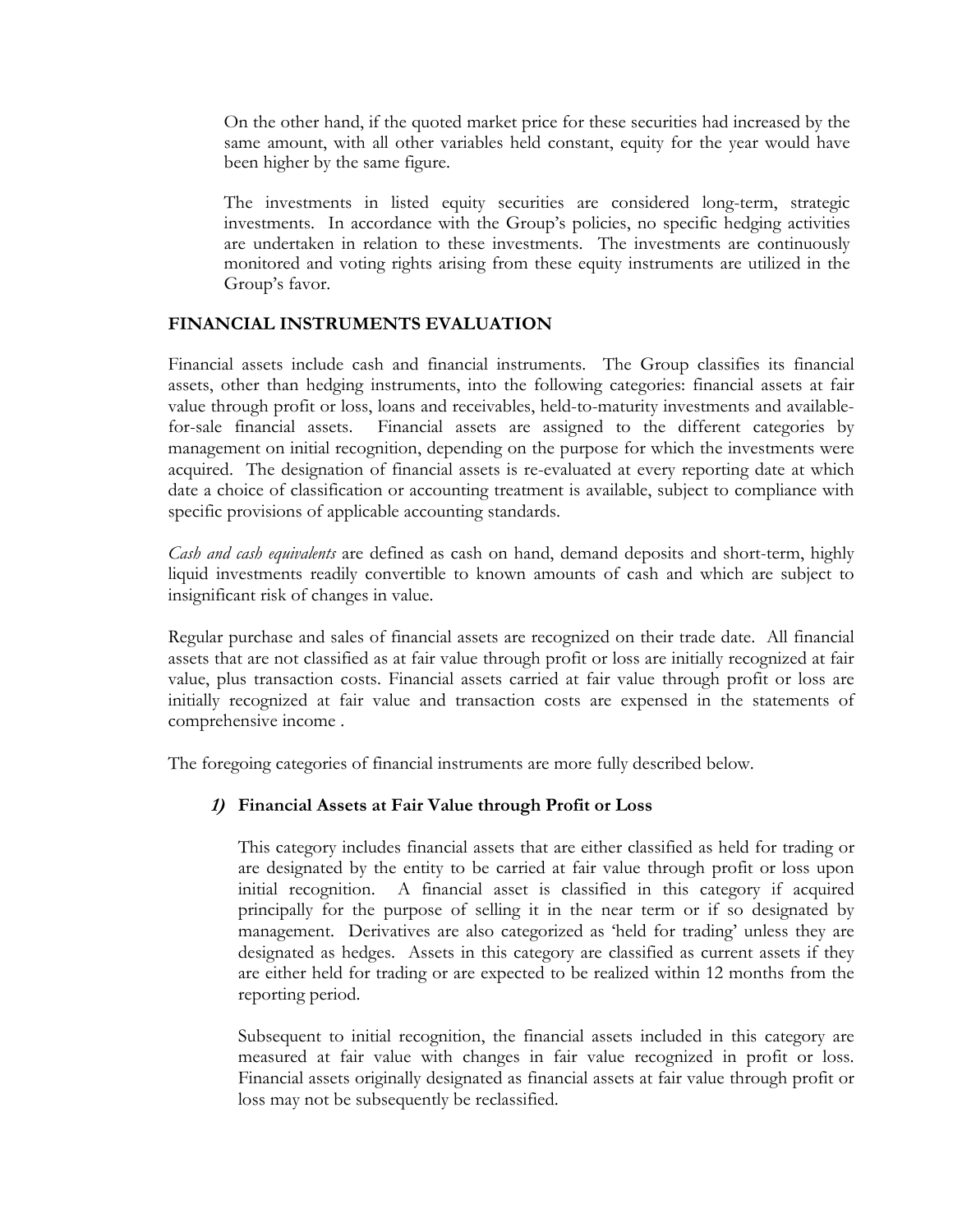On the other hand, if the quoted market price for these securities had increased by the same amount, with all other variables held constant, equity for the year would have been higher by the same figure.

The investments in listed equity securities are considered long-term, strategic investments. In accordance with the Group's policies, no specific hedging activities are undertaken in relation to these investments. The investments are continuously monitored and voting rights arising from these equity instruments are utilized in the Group's favor.

## **FINANCIAL INSTRUMENTS EVALUATION**

Financial assets include cash and financial instruments. The Group classifies its financial assets, other than hedging instruments, into the following categories: financial assets at fair value through profit or loss, loans and receivables, held-to-maturity investments and availablefor-sale financial assets. Financial assets are assigned to the different categories by management on initial recognition, depending on the purpose for which the investments were acquired. The designation of financial assets is re-evaluated at every reporting date at which date a choice of classification or accounting treatment is available, subject to compliance with specific provisions of applicable accounting standards.

*Cash and cash equivalents* are defined as cash on hand, demand deposits and short-term, highly liquid investments readily convertible to known amounts of cash and which are subject to insignificant risk of changes in value.

Regular purchase and sales of financial assets are recognized on their trade date. All financial assets that are not classified as at fair value through profit or loss are initially recognized at fair value, plus transaction costs. Financial assets carried at fair value through profit or loss are initially recognized at fair value and transaction costs are expensed in the statements of comprehensive income .

The foregoing categories of financial instruments are more fully described below.

## **1) Financial Assets at Fair Value through Profit or Loss**

 This category includes financial assets that are either classified as held for trading or are designated by the entity to be carried at fair value through profit or loss upon initial recognition. A financial asset is classified in this category if acquired principally for the purpose of selling it in the near term or if so designated by management. Derivatives are also categorized as 'held for trading' unless they are designated as hedges. Assets in this category are classified as current assets if they are either held for trading or are expected to be realized within 12 months from the reporting period.

 Subsequent to initial recognition, the financial assets included in this category are measured at fair value with changes in fair value recognized in profit or loss. Financial assets originally designated as financial assets at fair value through profit or loss may not be subsequently be reclassified.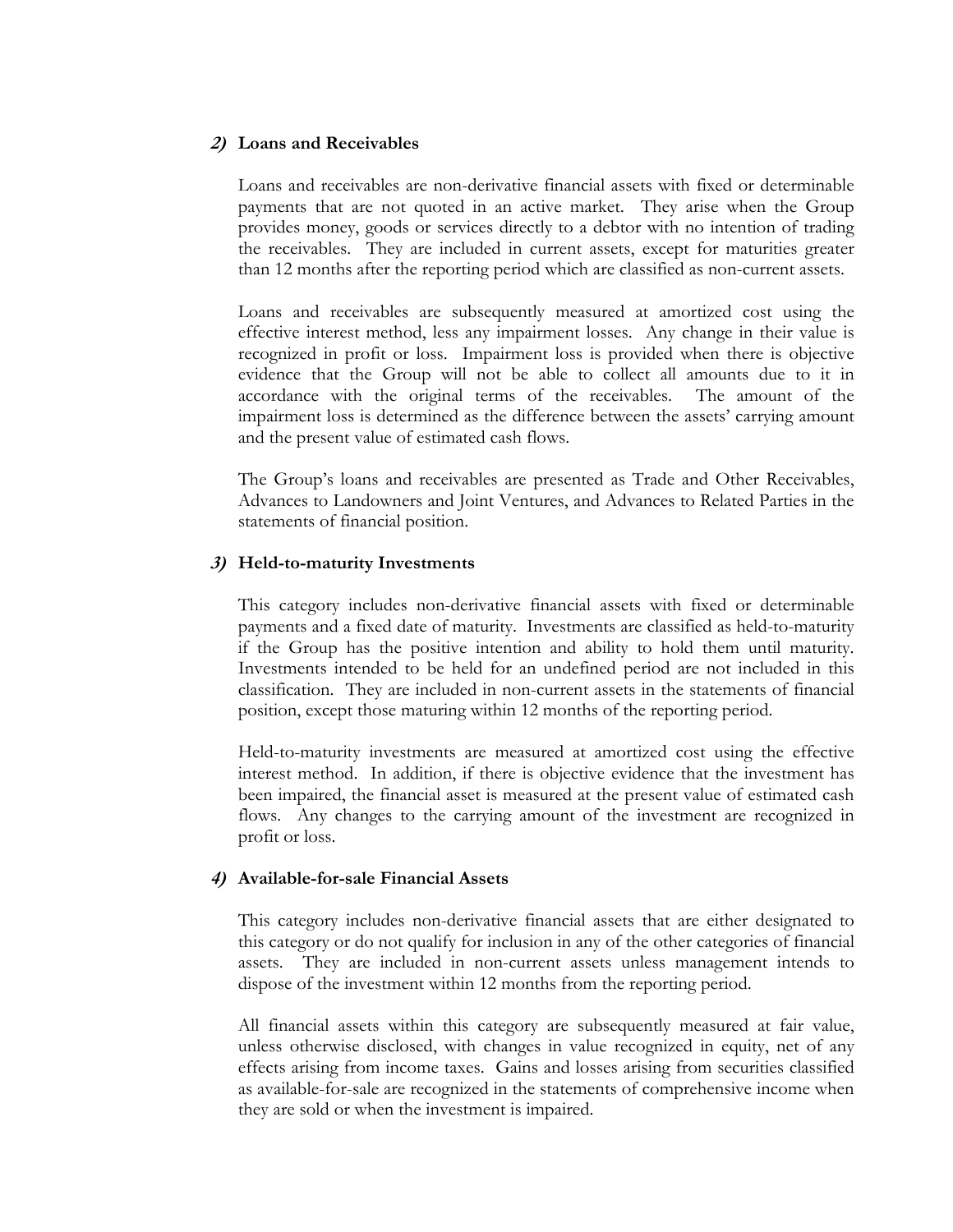#### **2) Loans and Receivables**

Loans and receivables are non-derivative financial assets with fixed or determinable payments that are not quoted in an active market. They arise when the Group provides money, goods or services directly to a debtor with no intention of trading the receivables. They are included in current assets, except for maturities greater than 12 months after the reporting period which are classified as non-current assets.

 Loans and receivables are subsequently measured at amortized cost using the effective interest method, less any impairment losses. Any change in their value is recognized in profit or loss. Impairment loss is provided when there is objective evidence that the Group will not be able to collect all amounts due to it in accordance with the original terms of the receivables. The amount of the impairment loss is determined as the difference between the assets' carrying amount and the present value of estimated cash flows.

 The Group's loans and receivables are presented as Trade and Other Receivables, Advances to Landowners and Joint Ventures, and Advances to Related Parties in the statements of financial position.

### **3) Held-to-maturity Investments**

This category includes non-derivative financial assets with fixed or determinable payments and a fixed date of maturity. Investments are classified as held-to-maturity if the Group has the positive intention and ability to hold them until maturity. Investments intended to be held for an undefined period are not included in this classification. They are included in non-current assets in the statements of financial position, except those maturing within 12 months of the reporting period.

 Held-to-maturity investments are measured at amortized cost using the effective interest method. In addition, if there is objective evidence that the investment has been impaired, the financial asset is measured at the present value of estimated cash flows. Any changes to the carrying amount of the investment are recognized in profit or loss.

#### **4) Available-for-sale Financial Assets**

This category includes non-derivative financial assets that are either designated to this category or do not qualify for inclusion in any of the other categories of financial assets. They are included in non-current assets unless management intends to dispose of the investment within 12 months from the reporting period.

All financial assets within this category are subsequently measured at fair value, unless otherwise disclosed, with changes in value recognized in equity, net of any effects arising from income taxes. Gains and losses arising from securities classified as available-for-sale are recognized in the statements of comprehensive income when they are sold or when the investment is impaired.